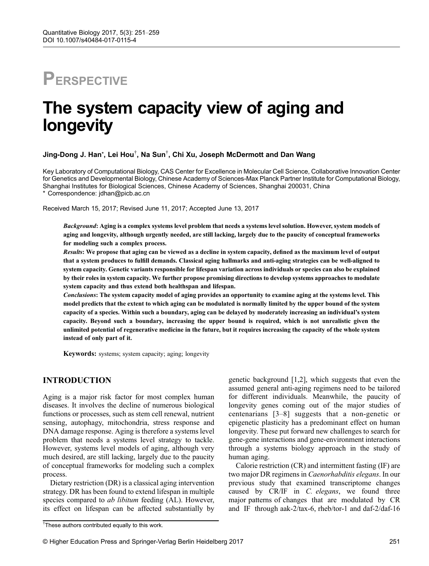# **PERSPECTIVE**

# The system capacity view of aging and longevity

## Jing-Dong J. Han $^*$ , Lei Hou $^\dagger$ , Na Sun $^\dagger$ , Chi Xu, Joseph McDermott and Dan Wang

Key Laboratory of Computational Biology, CAS Center for Excellence in Molecular Cell Science, Collaborative Innovation Center for Genetics and Developmental Biology, Chinese Academy of Sciences-Max Planck Partner Institute for Computational Biology, Shanghai Institutes for Biological Sciences, Chinese Academy of Sciences, Shanghai 200031, China Correspondence: jdhan@picb.ac.cn

Received March 15, 2017; Revised June 11, 2017; Accepted June 13, 2017

Background: Aging is a complex systems level problem that needs a systems level solution. However, system models of aging and longevity, although urgently needed, are still lacking, largely due to the paucity of conceptual frameworks for modeling such a complex process.

Results: We propose that aging can be viewed as a decline in system capacity, defined as the maximum level of output that a system produces to fulfill demands. Classical aging hallmarks and anti-aging strategies can be well-aligned to system capacity. Genetic variants responsible for lifespan variation across individuals or species can also be explained by their roles in system capacity. We further propose promising directions to develop systems approaches to modulate system capacity and thus extend both healthspan and lifespan.

Conclusions: The system capacity model of aging provides an opportunity to examine aging at the systems level. This model predicts that the extent to which aging can be modulated is normally limited by the upper bound of the system capacity of a species. Within such a boundary, aging can be delayed by moderately increasing an individual's system capacity. Beyond such a boundary, increasing the upper bound is required, which is not unrealistic given the unlimited potential of regenerative medicine in the future, but it requires increasing the capacity of the whole system instead of only part of it.

Keywords: systems; system capacity; aging; longevity

#### INTRODUCTION

Aging is a major risk factor for most complex human diseases. It involves the decline of numerous biological functions or processes, such as stem cell renewal, nutrient sensing, autophagy, mitochondria, stress response and DNA damage response. Aging is therefore a systems level problem that needs a systems level strategy to tackle. However, systems level models of aging, although very much desired, are still lacking, largely due to the paucity of conceptual frameworks for modeling such a complex process.

Dietary restriction (DR) is a classical aging intervention strategy. DR has been found to extend lifespan in multiple species compared to *ab libitum* feeding (AL). However, its effect on lifespan can be affected substantially by

genetic background [[1](#page-7-0),[2](#page-7-0)], which suggests that even the assumed general anti-aging regimens need to be tailored for different individuals. Meanwhile, the paucity of longevity genes coming out of the major studies of centenarians [[3](#page-7-0)–[8\]](#page-7-0) suggests that a non-genetic or epigenetic plasticity has a predominant effect on human longevity. These put forward new challenges to search for gene-gene interactions and gene-environment interactions through a systems biology approach in the study of human aging.

Calorie restriction (CR) and intermittent fasting (IF) are two major DR regimens in Caenorhabditis elegans. In our previous study that examined transcriptome changes caused by CR/IF in C. elegans, we found three major patterns of changes that are modulated by CR and IF through aak-2/tax-6, rheb/tor-1 and daf-2/daf-16

<sup>†</sup> These authors contributed equally to this work.

<sup>©</sup> Higher Education Press and Springer-Verlag Berlin Heidelberg 2017 251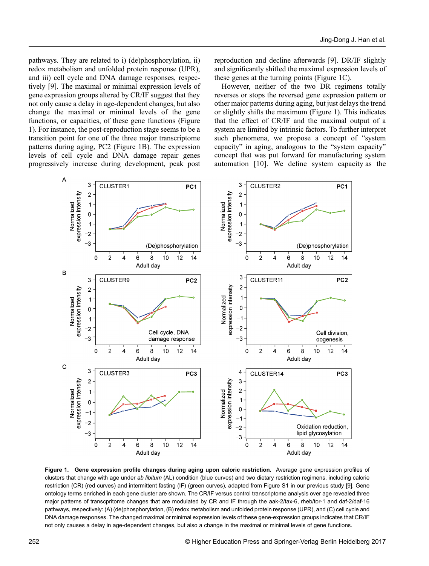pathways. They are related to i) (de)phosphorylation, ii) redox metabolism and unfolded protein response (UPR), and iii) cell cycle and DNA damage responses, respectively [\[9](#page-7-0)]. The maximal or minimal expression levels of gene expression groups altered by CR/IF suggest that they not only cause a delay in age-dependent changes, but also change the maximal or minimal levels of the gene functions, or capacities, of these gene functions (Figure 1). For instance, the post-reproduction stage seems to be a transition point for one of the three major transcriptome patterns during aging, PC2 (Figure 1B). The expression levels of cell cycle and DNA damage repair genes progressively increase during development, peak post reproduction and decline afterwards [[9](#page-7-0)]. DR/IF slightly and significantly shifted the maximal expression levels of these genes at the turning points (Figure 1C).

However, neither of the two DR regimens totally reverses or stops the reversed gene expression pattern or other major patterns during aging, but just delays the trend or slightly shifts the maximum (Figure 1). This indicates that the effect of CR/IF and the maximal output of a system are limited by intrinsic factors. To further interpret such phenomena, we propose a concept of "system capacity" in aging, analogous to the "system capacity" concept that was put forward for manufacturing system automation [[10\]](#page-7-0). We define system capacity as the



Figure 1. Gene expression profile changes during aging upon caloric restriction. Average gene expression profiles of clusters that change with age under ab libitum (AL) condition (blue curves) and two dietary restriction regimens, including calorie restriction (CR) (red curves) and intermittent fasting (IF) (green curves), adapted from Figure S1 in our previous study [\[9\]](#page-7-0). Gene ontology terms enriched in each gene cluster are shown. The CR/IF versus control transcriptome analysis over age revealed three major patterns of transcpritome changes that are modulated by CR and IF through the aak-2/tax-6, rheb/tor-1 and daf-2/daf-16 pathways, respectively: (A) (de)phosphorylation, (B) redox metabolism and unfolded protein response (UPR), and (C) cell cycle and DNA damage responses. The changed maximal or minimal expression levels of these gene-expression groups indicates that CR/IF not only causes a delay in age-dependent changes, but also a change in the maximal or minimal levels of gene functions.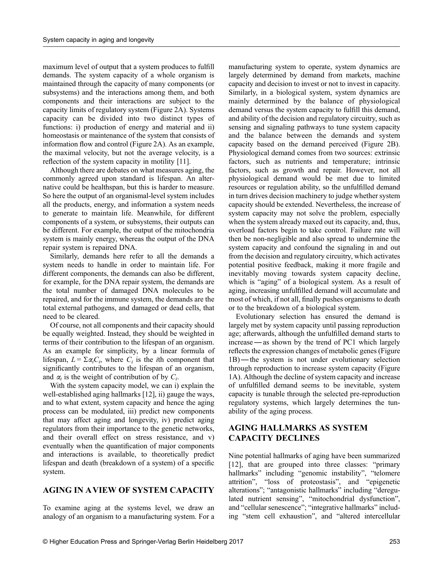maximum level of output that a system produces to fulfill demands. The system capacity of a whole organism is maintained through the capacity of many components (or subsystems) and the interactions among them, and both components and their interactions are subject to the capacity limits of regulatory system (Figure 2A). Systems capacity can be divided into two distinct types of functions: i) production of energy and material and ii) homeostasis or maintenance of the system that consists of information flow and control (Figure 2A). As an example, the maximal velocity, but not the average velocity, is a reflection of the system capacity in motility [[11](#page-7-0)].

Although there are debates on what measures aging, the commonly agreed upon standard is lifespan. An alternative could be healthspan, but this is harder to measure. So here the output of an organismal-level system includes all the products, energy, and information a system needs to generate to maintain life. Meanwhile, for different components of a system, or subsystems, their outputs can be different. For example, the output of the mitochondria system is mainly energy, whereas the output of the DNA repair system is repaired DNA.

Similarly, demands here refer to all the demands a system needs to handle in order to maintain life. For different components, the demands can also be different, for example, for the DNA repair system, the demands are the total number of damaged DNA molecules to be repaired, and for the immune system, the demands are the total external pathogens, and damaged or dead cells, that need to be cleared.

Of course, not all components and their capacity should be equally weighted. Instead, they should be weighted in terms of their contribution to the lifespan of an organism. As an example for simplicity, by a linear formula of lifespan,  $L = \sum \alpha_i C_i$ , where  $C_i$  is the *i*th component that significantly contributes to the lifespan of an organism, and  $\alpha_i$  is the weight of contribution of by  $C_i$ .

With the system capacity model, we can i) explain the well-established aging hallmarks [\[12](#page-7-0)], ii) gauge the ways, and to what extent, system capacity and hence the aging process can be modulated, iii) predict new components that may affect aging and longevity, iv) predict aging regulators from their importance to the genetic networks, and their overall effect on stress resistance, and v) eventually when the quantification of major components and interactions is available, to theoretically predict lifespan and death (breakdown of a system) of a specific system.

## AGING IN AVIEW OF SYSTEM CAPACITY

To examine aging at the systems level, we draw an analogy of an organism to a manufacturing system. For a

manufacturing system to operate, system dynamics are largely determined by demand from markets, machine capacity and decision to invest or not to invest in capacity. Similarly, in a biological system, system dynamics are mainly determined by the balance of physiological demand versus the system capacity to fulfill this demand, and ability of the decision and regulatory circuitry, such as sensing and signaling pathways to tune system capacity and the balance between the demands and system capacity based on the demand perceived (Figure 2B). Physiological demand comes from two sources: extrinsic factors, such as nutrients and temperature; intrinsic factors, such as growth and repair. However, not all physiological demand would be met due to limited resources or regulation ability, so the unfulfilled demand in turn drives decision machinery to judge whether system capacity should be extended. Nevertheless, the increase of system capacity may not solve the problem, especially when the system already maxed out its capacity, and, thus, overload factors begin to take control. Failure rate will then be non-negligible and also spread to undermine the system capacity and confound the signaling in and out from the decision and regulatory circuitry, which activates potential positive feedback, making it more fragile and inevitably moving towards system capacity decline, which is "aging" of a biological system. As a result of aging, increasing unfulfilled demand will accumulate and most of which, if not all, finally pushes organisms to death or to the breakdown of a biological system.

Evolutionary selection has ensured the demand is largely met by system capacity until passing reproduction age; afterwards, although the unfulfilled demand starts to increase —as shown by the trend of PC1 which largely reflects the expression changes of metabolic genes (Figure 1B)—the system is not under evolutionary selection through reproduction to increase system capacity (Figure 1A). Although the decline of system capacity and increase of unfulfilled demand seems to be inevitable, system capacity is tunable through the selected pre-reproduction regulatory systems, which largely determines the tunability of the aging process.

## AGING HALLMARKS AS SYSTEM CAPACITY DECLINES

Nine potential hallmarks of aging have been summarized [[12\]](#page-7-0), that are grouped into three classes: "primary hallmarks" including "genomic instability", "telomere attrition", "loss of proteostasis", and "epigenetic alterations"; "antagonistic hallmarks" including "deregulated nutrient sensing", "mitochondrial dysfunction", and "cellular senescence"; "integrative hallmarks" including "stem cell exhaustion", and "altered intercellular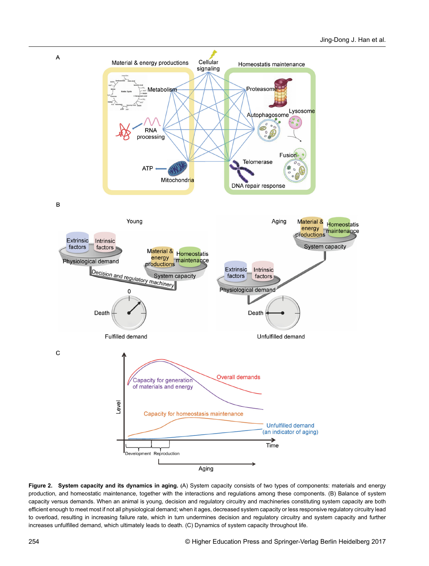

Figure 2. System capacity and its dynamics in aging. (A) System capacity consists of two types of components: materials and energy production, and homeostatic maintenance, together with the interactions and regulations among these components. (B) Balance of system capacity versus demands. When an animal is young, decision and regulatory circuitry and machineries constituting system capacity are both efficient enough to meet most if not all physiological demand; when it ages, decreased system capacity or less responsive regulatory circuitry lead to overload, resulting in increasing failure rate, which in turn undermines decision and regulatory circuitry and system capacity and further increases unfulfilled demand, which ultimately leads to death. (C) Dynamics of system capacity throughout life.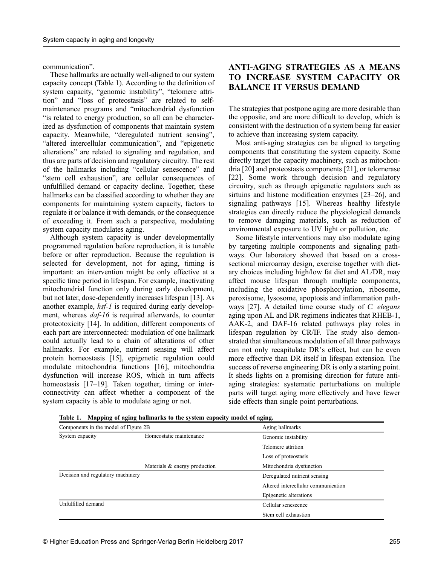communication".

These hallmarks are actually well-aligned to our system capacity concept (Table 1). According to the definition of system capacity, "genomic instability", "telomere attrition" and "loss of proteostasis" are related to selfmaintenance programs and "mitochondrial dysfunction "is related to energy production, so all can be characterized as dysfunction of components that maintain system capacity. Meanwhile, "deregulated nutrient sensing", "altered intercellular communication", and "epigenetic alterations" are related to signaling and regulation, and thus are parts of decision and regulatory circuitry. The rest of the hallmarks including "cellular senescence" and "stem cell exhaustion", are cellular consequences of unfulfilled demand or capacity decline. Together, these hallmarks can be classified according to whether they are components for maintaining system capacity, factors to regulate it or balance it with demands, or the consequence of exceeding it. From such a perspective, modulating system capacity modulates aging.

Although system capacity is under developmentally programmed regulation before reproduction, it is tunable before or after reproduction. Because the regulation is selected for development, not for aging, timing is important: an intervention might be only effective at a specific time period in lifespan. For example, inactivating mitochondrial function only during early development, but not later, dose-dependently increases lifespan [\[13\]](#page-7-0). As another example, hsf-1 is required during early development, whereas *daf-16* is required afterwards, to counter proteotoxicity [\[14\]](#page-7-0). In addition, different components of each part are interconnected: modulation of one hallmark could actually lead to a chain of alterations of other hallmarks. For example, nutrient sensing will affect protein homeostasis [\[15\]](#page-7-0), epigenetic regulation could modulate mitochondria functions [[16\]](#page-7-0), mitochondria dysfunction will increase ROS, which in turn affects homeostasis [\[17](#page-7-0)–[19](#page-7-0)]. Taken together, timing or interconnectivity can affect whether a component of the system capacity is able to modulate aging or not.

# ANTI-AGING STRATEGIES AS A MEANS TO INCREASE SYSTEM CAPACITY OR BALANCE IT VERSUS DEMAND

The strategies that postpone aging are more desirable than the opposite, and are more difficult to develop, which is consistent with the destruction of a system being far easier to achieve than increasing system capacity.

Most anti-aging strategies can be aligned to targeting components that constituting the system capacity. Some directly target the capacity machinery, such as mitochondria [\[20\]](#page-7-0) and proteostasis components [[21](#page-7-0)], or telomerase [[22\]](#page-7-0). Some work through decision and regulatory circuitry, such as through epigenetic regulators such as sirtuins and histone modification enzymes [[23](#page-7-0)–[26\]](#page-8-0), and signaling pathways [[15](#page-7-0)]. Whereas healthy lifestyle strategies can directly reduce the physiological demands to remove damaging materials, such as reduction of environmental exposure to UV light or pollution, etc.

Some lifestyle interventions may also modulate aging by targeting multiple components and signaling pathways. Our laboratory showed that based on a crosssectional microarray design, exercise together with dietary choices including high/low fat diet and AL/DR, may affect mouse lifespan through multiple components, including the oxidative phosphorylation, ribosome, peroxisome, lysosome, apoptosis and inflammation pathways [[27\]](#page-8-0). A detailed time course study of C. elegans aging upon AL and DR regimens indicates that RHEB-1, AAK-2, and DAF-16 related pathways play roles in lifespan regulation by CR/IF. The study also demonstrated that simultaneous modulation of all three pathways can not only recapitulate DR's effect, but can be even more effective than DR itself in lifespan extension. The success of reverse engineering DR is only a starting point. It sheds lights on a promising direction for future antiaging strategies: systematic perturbations on multiple parts will target aging more effectively and have fewer side effects than single point perturbations.

| Components in the model of Figure 2B |                               | Aging hallmarks                     |
|--------------------------------------|-------------------------------|-------------------------------------|
| System capacity                      | Homeostatic maintenance       | Genomic instability                 |
|                                      |                               | Telomere attrition                  |
|                                      |                               | Loss of proteostasis                |
|                                      | Materials & energy production | Mitochondria dysfunction            |
| Decision and regulatory machinery    |                               | Deregulated nutrient sensing        |
|                                      |                               | Altered intercellular communication |
|                                      |                               | Epigenetic alterations              |
| Unfulfilled demand                   |                               | Cellular senescence                 |
|                                      |                               | Stem cell exhaustion                |

Table 1. Mapping of aging hallmarks to the system capacity model of aging.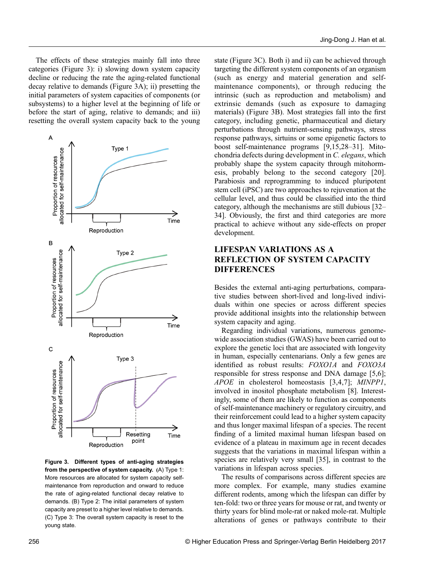The effects of these strategies mainly fall into three categories (Figure 3): i) slowing down system capacity decline or reducing the rate the aging-related functional decay relative to demands (Figure 3A); ii) presetting the initial parameters of system capacities of components (or subsystems) to a higher level at the beginning of life or before the start of aging, relative to demands; and iii) resetting the overall system capacity back to the young



Figure 3. Different types of anti-aging strategies from the perspective of system capacity. (A) Type 1: More resources are allocated for system capacity selfmaintenance from reproduction and onward to reduce the rate of aging-related functional decay relative to demands. (B) Type 2: The initial parameters of system capacity are preset to a higher level relative to demands. (C) Type 3: The overall system capacity is reset to the young state.

state (Figure 3C). Both i) and ii) can be achieved through targeting the different system components of an organism (such as energy and material generation and selfmaintenance components), or through reducing the intrinsic (such as reproduction and metabolism) and extrinsic demands (such as exposure to damaging materials) (Figure 3B). Most strategies fall into the first category, including genetic, pharmaceutical and dietary perturbations through nutrient-sensing pathways, stress response pathways, sirtuins or some epigenetic factors to boost self-maintenance programs [[9,15,](#page-7-0)[28](#page-8-0)–[31\]](#page-8-0). Mitochondria defects during development in C. elegans, which probably shape the system capacity through mitohormesis, probably belong to the second category [\[20\]](#page-7-0). Parabiosis and reprogramming to induced pluripotent stem cell (iPSC) are two approaches to rejuvenation at the cellular level, and thus could be classified into the third category, although the mechanisms are still dubious [\[32](#page-8-0)– [34](#page-8-0)]. Obviously, the first and third categories are more practical to achieve without any side-effects on proper development.

# LIFESPAN VARIATIONS AS A REFLECTION OF SYSTEM CAPACITY **DIFFERENCES**

Besides the external anti-aging perturbations, comparative studies between short-lived and long-lived individuals within one species or across different species provide additional insights into the relationship between system capacity and aging.

Regarding individual variations, numerous genomewide association studies (GWAS) have been carried out to explore the genetic loci that are associated with longevity in human, especially centenarians. Only a few genes are identified as robust results: FOXO1A and FOXO3A responsible for stress response and DNA damage [\[5,6\]](#page-7-0); APOE in cholesterol homeostasis [\[3,4,7\]](#page-7-0); MINPP1, involved in inositol phosphate metabolism [\[8\]](#page-7-0). Interestingly, some of them are likely to function as components of self-maintenance machinery or regulatory circuitry, and their reinforcement could lead to a higher system capacity and thus longer maximal lifespan of a species. The recent finding of a limited maximal human lifespan based on evidence of a plateau in maximum age in recent decades suggests that the variations in maximal lifespan within a species are relatively very small [\[35\]](#page-8-0), in contrast to the variations in lifespan across species.

The results of comparisons across different species are more complex. For example, many studies examine different rodents, among which the lifespan can differ by ten-fold: two or three years for mouse or rat, and twenty or thirty years for blind mole-rat or naked mole-rat. Multiple alterations of genes or pathways contribute to their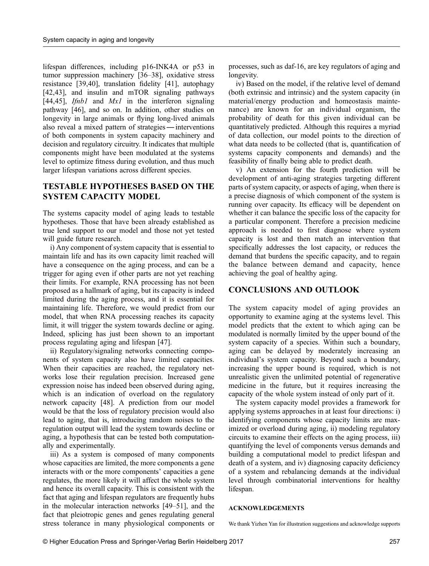lifespan differences, including p16-INK4A or p53 in tumor suppression machinery [[36](#page-8-0)–[38\]](#page-8-0), oxidative stress resistance [\[39,40\]](#page-8-0), translation fidelity [\[41\]](#page-8-0), autophagy [[42](#page-8-0),[43\]](#page-8-0), and insulin and mTOR signaling pathways [[44,45\]](#page-8-0), *Ifnb1* and  $Mx1$  in the interferon signaling pathway [[46\]](#page-8-0), and so on. In addition, other studies on longevity in large animals or flying long-lived animals also reveal a mixed pattern of strategies —interventions of both components in system capacity machinery and decision and regulatory circuitry. It indicates that multiple components might have been modulated at the systems level to optimize fitness during evolution, and thus much larger lifespan variations across different species.

## TESTABLE HYPOTHESES BASED ON THE SYSTEM CAPACITY MODEL

The systems capacity model of aging leads to testable hypotheses. Those that have been already established as true lend support to our model and those not yet tested will guide future research.

i) Any component of system capacity that is essential to maintain life and has its own capacity limit reached will have a consequence on the aging process, and can be a trigger for aging even if other parts are not yet reaching their limits. For example, RNA processing has not been proposed as a hallmark of aging, but its capacity is indeed limited during the aging process, and it is essential for maintaining life. Therefore, we would predict from our model, that when RNA processing reaches its capacity limit, it will trigger the system towards decline or aging. Indeed, splicing has just been shown to an important process regulating aging and lifespan [\[47\]](#page-8-0).

ii) Regulatory/signaling networks connecting components of system capacity also have limited capacities. When their capacities are reached, the regulatory networks lose their regulation precision. Increased gene expression noise has indeed been observed during aging, which is an indication of overload on the regulatory network capacity [[48](#page-8-0)]. A prediction from our model would be that the loss of regulatory precision would also lead to aging, that is, introducing random noises to the regulation output will lead the system towards decline or aging, a hypothesis that can be tested both computationally and experimentally.

iii) As a system is composed of many components whose capacities are limited, the more components a gene interacts with or the more components' capacities a gene regulates, the more likely it will affect the whole system and hence its overall capacity. This is consistent with the fact that aging and lifespan regulators are frequently hubs in the molecular interaction networks [\[49](#page-8-0)–[51](#page-8-0)], and the fact that pleiotropic genes and genes regulating general stress tolerance in many physiological components or processes, such as daf-16, are key regulators of aging and longevity.

iv) Based on the model, if the relative level of demand (both extrinsic and intrinsic) and the system capacity (in material/energy production and homeostasis maintenance) are known for an individual organism, the probability of death for this given individual can be quantitatively predicted. Although this requires a myriad of data collection, our model points to the direction of what data needs to be collected (that is, quantification of systems capacity components and demands) and the feasibility of finally being able to predict death.

v) An extension for the fourth prediction will be development of anti-aging strategies targeting different parts of system capacity, or aspects of aging, when there is a precise diagnosis of which component of the system is running over capacity. Its efficacy will be dependent on whether it can balance the specific loss of the capacity for a particular component. Therefore a precision medicine approach is needed to first diagnose where system capacity is lost and then match an intervention that specifically addresses the lost capacity, or reduces the demand that burdens the specific capacity, and to regain the balance between demand and capacity, hence achieving the goal of healthy aging.

### CONCLUSIONS AND OUTLOOK

The system capacity model of aging provides an opportunity to examine aging at the systems level. This model predicts that the extent to which aging can be modulated is normally limited by the upper bound of the system capacity of a species. Within such a boundary, aging can be delayed by moderately increasing an individual's system capacity. Beyond such a boundary, increasing the upper bound is required, which is not unrealistic given the unlimited potential of regenerative medicine in the future, but it requires increasing the capacity of the whole system instead of only part of it.

The system capacity model provides a framework for applying systems approaches in at least four directions: i) identifying components whose capacity limits are maximized or overload during aging, ii) modeling regulatory circuits to examine their effects on the aging process, iii) quantifying the level of components versus demands and building a computational model to predict lifespan and death of a system, and iv) diagnosing capacity deficiency of a system and rebalancing demands at the individual level through combinatorial interventions for healthy lifespan.

#### ACKNOWLEDGEMENTS

We thank Yizhen Yan for illustration suggestions and acknowledge supports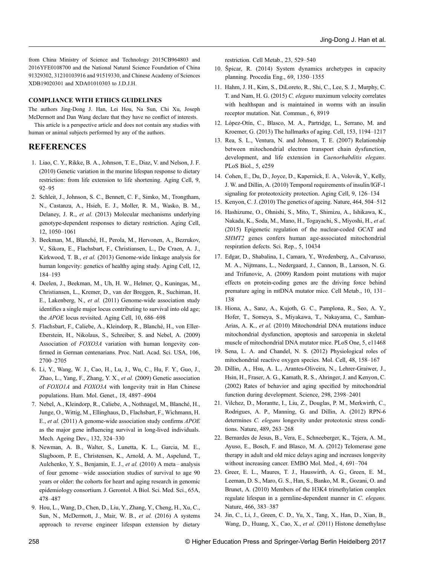<span id="page-7-0"></span>from China Ministry of Science and Technology 2015CB964803 and 2016YFE0108700 and the National Natural Science Foundation of China 91329302, 31210103916 and 91519330, and Chinese Academy of Sciences XDB19020301 and XDA01010303 to J.D.J.H.

#### COMPLIANCE WITH ETHICS GUIDELINES

The authors Jing-Dong J. Han, Lei Hou, Na Sun, Chi Xu, Joseph McDermott and Dan Wang declare that they have no conflict of interests.

This article is a perspective article and does not contain any studies with human or animal subjects performed by any of the authors.

#### REFERENCES

- 1. Liao, C. Y., Rikke, B. A., Johnson, T. E., Diaz, V. and Nelson, J. F. (2010) Genetic variation in the murine lifespan response to dietary restriction: from life extension to life shortening. Aging Cell, 9, 92–95
- 2. Schleit, J., Johnson, S. C., Bennett, C. F., Simko, M., Trongtham, N., Castanza, A., Hsieh, E. J., Moller, R. M., Wasko, B. M., Delaney, J. R., et al. (2013) Molecular mechanisms underlying genotype-dependent responses to dietary restriction. Aging Cell, 12, 1050–1061
- 3. Beekman, M., Blanché, H., Perola, M., Hervonen, A., Bezrukov, V., Sikora, E., Flachsbart, F., Christiansen, L., De Craen, A. J., Kirkwood, T. B., et al. (2013) Genome-wide linkage analysis for human longevity: genetics of healthy aging study. Aging Cell, 12, 184–193
- 4. Deelen, J., Beekman, M., Uh, H. W., Helmer, Q., Kuningas, M., Christiansen, L., Kremer, D., van der Breggen, R., Suchiman, H. E., Lakenberg, N., et al. (2011) Genome-wide association study identifies a single major locus contributing to survival into old age; the APOE locus revisited. Aging Cell, 10, 686–698
- 5. Flachsbart, F., Caliebe, A., Kleindorp, R., Blanché, H., von Eller-Eberstein, H., Nikolaus, S., Schreiber, S. and Nebel, A. (2009) Association of FOXO3A variation with human longevity confirmed in German centenarians. Proc. Natl. Acad. Sci. USA, 106, 2700–2705
- 6. Li, Y., Wang, W. J., Cao, H., Lu, J., Wu, C., Hu, F. Y., Guo, J., Zhao, L., Yang, F., Zhang, Y. X., et al. (2009) Genetic association of FOXO1A and FOXO3A with longevity trait in Han Chinese populations. Hum. Mol. Genet., 18, 4897–4904
- 7. Nebel, A., Kleindorp, R., Caliebe, A., Nothnagel, M., Blanché, H., Junge, O., Wittig, M., Ellinghaus, D., Flachsbart, F., Wichmann, H. E., et al. (2011) A genome-wide association study confirms APOE as the major gene influencing survival in long-lived individuals. Mech. Ageing Dev., 132, 324–330
- 8. Newman, A. B., Walter, S., Lunetta, K. L., Garcia, M. E., Slagboom, P. E., Christensen, K., Arnold, A. M., Aspelund, T., Aulchenko, Y. S., Benjamin, E. J., et al. (2010) A meta – analysis of four genome – wide association studies of survival to age 90 years or older: the cohorts for heart and aging research in genomic epidemiology consortium. J. Gerontol. A Biol. Sci. Med. Sci., 65A, 478–487
- 9. Hou, L., Wang, D., Chen, D., Liu, Y., Zhang, Y., Cheng, H., Xu, C., Sun, N., McDermott, J., Mair, W. B., et al. (2016) A systems approach to reverse engineer lifespan extension by dietary

restriction. Cell Metab., 23, 529–540

- 10. Špicar, R. (2014) System dynamics archetypes in capacity planning. Procedia Eng., 69, 1350–1355
- 11. Hahm, J. H., Kim, S., DiLoreto, R., Shi, C., Lee, S. J., Murphy, C. T. and Nam, H. G. (2015) C. elegans maximum velocity correlates with healthspan and is maintained in worms with an insulin receptor mutation. Nat. Commun., 6, 8919
- 12. López-Otín, C., Blasco, M. A., Partridge, L., Serrano, M. and Kroemer, G. (2013) The hallmarks of aging. Cell, 153, 1194–1217
- 13. Rea, S. L., Ventura, N. and Johnson, T. E. (2007) Relationship between mitochondrial electron transport chain dysfunction, development, and life extension in Caenorhabditis elegans. PLoS Biol., 5, e259
- 14. Cohen, E., Du, D., Joyce, D., Kapernick, E. A., Volovik, Y., Kelly, J. W. and Dillin, A. (2010) Temporal requirements of insulin/IGF-1 signaling for proteotoxicity protection. Aging Cell, 9, 126–134
- 15. Kenyon, C. J. (2010) The genetics of ageing. Nature, 464, 504–512
- 16. Hashizume, O., Ohnishi, S., Mito, T., Shimizu, A., Ishikawa, K., Nakada, K., Soda, M., Mano, H., Togayachi, S., Miyoshi, H., et al. (2015) Epigenetic regulation of the nuclear-coded GCAT and SHMT2 genes confers human age-associated mitochondrial respiration defects. Sci. Rep., 5, 10434
- 17. Edgar, D., Shabalina, I., Camara, Y., Wredenberg, A., Calvaruso, M. A., Nijtmans, L., Nedergaard, J., Cannon, B., Larsson, N. G. and Trifunovic, A. (2009) Random point mutations with major effects on protein-coding genes are the driving force behind premature aging in mtDNA mutator mice. Cell Metab., 10, 131– 138
- 18. Hiona, A., Sanz, A., Kujoth, G. C., Pamplona, R., Seo, A. Y., Hofer, T., Someya, S., Miyakawa, T., Nakayama, C., Samhan-Arias, A. K., et al. (2010) Mitochondrial DNA mutations induce mitochondrial dysfunction, apoptosis and sarcopenia in skeletal muscle of mitochondrial DNA mutator mice. PLoS One, 5, e11468
- 19. Sena, L. A. and Chandel, N. S. (2012) Physiological roles of mitochondrial reactive oxygen species. Mol. Cell, 48, 158–167
- 20. Dillin, A., Hsu, A. L., Arantes-Oliveira, N., Lehrer-Graiwer, J., Hsin, H., Fraser, A. G., Kamath, R. S., Ahringer, J. and Kenyon, C. (2002) Rates of behavior and aging specified by mitochondrial function during development. Science, 298, 2398–2401
- 21. Vilchez, D., Morantte, I., Liu, Z., Douglas, P. M., Merkwirth, C., Rodrigues, A. P., Manning, G. and Dillin, A. (2012) RPN-6 determines C. elegans longevity under proteotoxic stress conditions. Nature, 489, 263–268
- 22. Bernardes de Jesus, B., Vera, E., Schneeberger, K., Tejera, A. M., Ayuso, E., Bosch, F. and Blasco, M. A. (2012) Telomerase gene therapy in adult and old mice delays aging and increases longevity without increasing cancer. EMBO Mol. Med., 4, 691–704
- 23. Greer, E. L., Maures, T. J., Hauswirth, A. G., Green, E. M., Leeman, D. S., Maro, G. S., Han, S., Banko, M. R., Gozani, O. and Brunet, A. (2010) Members of the H3K4 trimethylation complex regulate lifespan in a germline-dependent manner in C. elegans. Nature, 466, 383–387
- 24. Jin, C., Li, J., Green, C. D., Yu, X., Tang, X., Han, D., Xian, B., Wang, D., Huang, X., Cao, X., et al. (2011) Histone demethylase